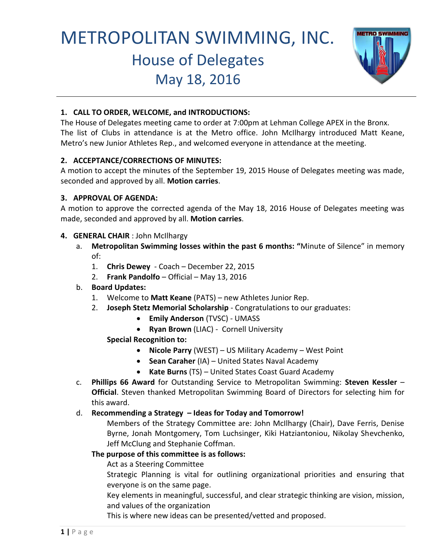# METROPOLITAN SWIMMING, INC. House of Delegates May 18, 2016



## **1. CALL TO ORDER, WELCOME, and INTRODUCTIONS:**

The House of Delegates meeting came to order at 7:00pm at Lehman College APEX in the Bronx. The list of Clubs in attendance is at the Metro office. John McIlhargy introduced Matt Keane, Metro's new Junior Athletes Rep., and welcomed everyone in attendance at the meeting.

## **2. ACCEPTANCE/CORRECTIONS OF MINUTES:**

A motion to accept the minutes of the September 19, 2015 House of Delegates meeting was made, seconded and approved by all. **Motion carries**.

#### **3. APPROVAL OF AGENDA:**

A motion to approve the corrected agenda of the May 18, 2016 House of Delegates meeting was made, seconded and approved by all. **Motion carries**.

## **4. GENERAL CHAIR** : John McIlhargy

- a. **Metropolitan Swimming losses within the past 6 months: "**Minute of Silence" in memory of:
	- 1. **Chris Dewey**  Coach December 22, 2015
	- 2. **Frank Pandolfo**  Official May 13, 2016
- b. **Board Updates:** 
	- 1. Welcome to **Matt Keane** (PATS) new Athletes Junior Rep.
	- 2. **Joseph Stetz Memorial Scholarship** Congratulations to our graduates:
		- **Emily Anderson** (TVSC) UMASS
		- **Ryan Brown** (LIAC) Cornell University

## **Special Recognition to:**

- **Nicole Parry** (WEST) US Military Academy West Point
- **Sean Caraher** (IA) United States Naval Academy
- **Kate Burns** (TS) United States Coast Guard Academy
- c. **Phillips 66 Award** for Outstanding Service to Metropolitan Swimming: **Steven Kessler Official**. Steven thanked Metropolitan Swimming Board of Directors for selecting him for this award.

## d. **Recommending a Strategy – Ideas for Today and Tomorrow!**

Members of the Strategy Committee are: John McIlhargy (Chair), Dave Ferris, Denise Byrne, Jonah Montgomery, Tom Luchsinger, Kiki Hatziantoniou, Nikolay Shevchenko, Jeff McClung and Stephanie Coffman.

#### **The purpose of this committee is as follows:**

Act as a Steering Committee

Strategic Planning is vital for outlining organizational priorities and ensuring that everyone is on the same page.

Key elements in meaningful, successful, and clear strategic thinking are vision, mission, and values of the organization

This is where new ideas can be presented/vetted and proposed.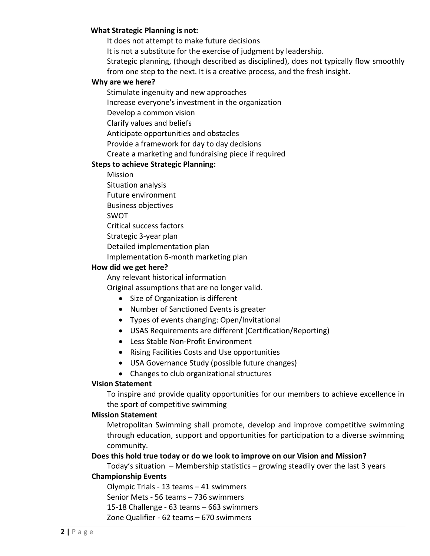#### **What Strategic Planning is not:**

It does not attempt to make future decisions

It is not a substitute for the exercise of judgment by leadership.

Strategic planning, (though described as disciplined), does not typically flow smoothly from one step to the next. It is a creative process, and the fresh insight.

#### **Why are we here?**

Stimulate ingenuity and new approaches

Increase everyone's investment in the organization

Develop a common vision

Clarify values and beliefs

Anticipate opportunities and obstacles

Provide a framework for day to day decisions

Create a marketing and fundraising piece if required

#### **Steps to achieve Strategic Planning:**

Mission

Situation analysis

Future environment

Business objectives

SWOT

Critical success factors

Strategic 3-year plan

Detailed implementation plan

Implementation 6-month marketing plan

#### **How did we get here?**

Any relevant historical information

Original assumptions that are no longer valid.

- Size of Organization is different
- Number of Sanctioned Events is greater
- Types of events changing: Open/Invitational
- USAS Requirements are different (Certification/Reporting)
- Less Stable Non-Profit Environment
- Rising Facilities Costs and Use opportunities
- USA Governance Study (possible future changes)
- Changes to club organizational structures

#### **Vision Statement**

To inspire and provide quality opportunities for our members to achieve excellence in the sport of competitive swimming

#### **Mission Statement**

Metropolitan Swimming shall promote, develop and improve competitive swimming through education, support and opportunities for participation to a diverse swimming community.

#### **Does this hold true today or do we look to improve on our Vision and Mission?**

Today's situation – Membership statistics – growing steadily over the last 3 years

#### **Championship Events**

Olympic Trials - 13 teams – 41 swimmers

Senior Mets - 56 teams – 736 swimmers

15-18 Challenge - 63 teams – 663 swimmers

Zone Qualifier - 62 teams – 670 swimmers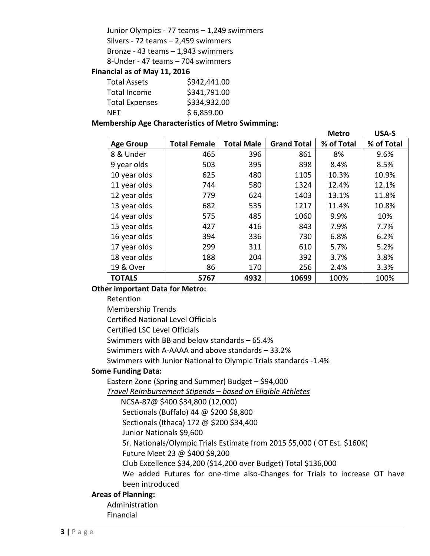Junior Olympics - 77 teams – 1,249 swimmers

Silvers - 72 teams – 2,459 swimmers

Bronze - 43 teams – 1,943 swimmers

8-Under - 47 teams – 704 swimmers

#### **Financial as of May 11, 2016**

| <b>Total Assets</b>   | \$942,441.00 |
|-----------------------|--------------|
| Total Income          | \$341,791.00 |
| <b>Total Expenses</b> | \$334,932.00 |
| NFT                   | \$6,859.00   |

#### **Membership Age Characteristics of Metro Swimming:**

|                  |                     |                   |                    | <b>Metro</b> | <b>USA-S</b> |
|------------------|---------------------|-------------------|--------------------|--------------|--------------|
| <b>Age Group</b> | <b>Total Female</b> | <b>Total Male</b> | <b>Grand Total</b> | % of Total   | % of Total   |
| 8 & Under        | 465                 | 396               | 861                | 8%           | 9.6%         |
| 9 year olds      | 503                 | 395               | 898                | 8.4%         | 8.5%         |
| 10 year olds     | 625                 | 480               | 1105               | 10.3%        | 10.9%        |
| 11 year olds     | 744                 | 580               | 1324               | 12.4%        | 12.1%        |
| 12 year olds     | 779                 | 624               | 1403               | 13.1%        | 11.8%        |
| 13 year olds     | 682                 | 535               | 1217               | 11.4%        | 10.8%        |
| 14 year olds     | 575                 | 485               | 1060               | 9.9%         | 10%          |
| 15 year olds     | 427                 | 416               | 843                | 7.9%         | 7.7%         |
| 16 year olds     | 394                 | 336               | 730                | 6.8%         | 6.2%         |
| 17 year olds     | 299                 | 311               | 610                | 5.7%         | 5.2%         |
| 18 year olds     | 188                 | 204               | 392                | 3.7%         | 3.8%         |
| 19 & Over        | 86                  | 170               | 256                | 2.4%         | 3.3%         |
| <b>TOTALS</b>    | 5767                | 4932              | 10699              | 100%         | 100%         |

#### **Other important Data for Metro:**

Retention

Membership Trends

Certified National Level Officials

Certified LSC Level Officials

Swimmers with BB and below standards – 65.4%

Swimmers with A-AAAA and above standards – 33.2%

Swimmers with Junior National to Olympic Trials standards -1.4%

## **Some Funding Data:**

Eastern Zone (Spring and Summer) Budget – \$94,000

*Travel Reimbursement Stipends – based on Eligible Athletes*

NCSA-87@ \$400 \$34,800 (12,000)

Sectionals (Buffalo) 44 @ \$200 \$8,800

Sectionals (Ithaca) 172 @ \$200 \$34,400

Junior Nationals \$9,600

Sr. Nationals/Olympic Trials Estimate from 2015 \$5,000 ( OT Est. \$160K)

Future Meet 23 @ \$400 \$9,200

Club Excellence \$34,200 (\$14,200 over Budget) Total \$136,000

We added Futures for one-time also-Changes for Trials to increase OT have been introduced

# **Areas of Planning:**

Administration

Financial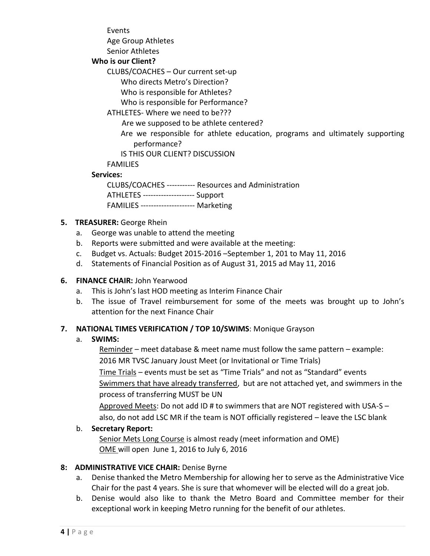Events

Age Group Athletes

Senior Athletes

# **Who is our Client?**

CLUBS/COACHES – Our current set-up

Who directs Metro's Direction?

Who is responsible for Athletes?

Who is responsible for Performance?

# ATHLETES- Where we need to be???

Are we supposed to be athlete centered?

 Are we responsible for athlete education, programs and ultimately supporting performance?

IS THIS OUR CLIENT? DISCUSSION

FAMILIES

# **Services:**

CLUBS/COACHES ----------- Resources and Administration

ATHLETES -------------------- Support

FAMILIES --------------------- Marketing

# **5. TREASURER:** George Rhein

- a. George was unable to attend the meeting
- b. Reports were submitted and were available at the meeting:
- c. Budget vs. Actuals: Budget 2015-2016 –September 1, 201 to May 11, 2016
- d. Statements of Financial Position as of August 31, 2015 ad May 11, 2016

# **6. FINANCE CHAIR:** John Yearwood

- a. This is John's last HOD meeting as Interim Finance Chair
- b. The issue of Travel reimbursement for some of the meets was brought up to John's attention for the next Finance Chair

# **7. NATIONAL TIMES VERIFICATION / TOP 10/SWIMS**: Monique Grayson

# a. **SWIMS:**

Reminder – meet database & meet name must follow the same pattern – example: 2016 MR TVSC January Joust Meet (or Invitational or Time Trials)

 Time Trials – events must be set as "Time Trials" and not as "Standard" events Swimmers that have already transferred, but are not attached yet, and swimmers in the process of transferring MUST be UN

Approved Meets: Do not add ID # to swimmers that are NOT registered with USA-S – also, do not add LSC MR if the team is NOT officially registered – leave the LSC blank

# b. **Secretary Report:**

Senior Mets Long Course is almost ready (meet information and OME) OME will open June 1, 2016 to July 6, 2016

# **8: ADMINISTRATIVE VICE CHAIR:** Denise Byrne

- a. Denise thanked the Metro Membership for allowing her to serve as the Administrative Vice Chair for the past 4 years. She is sure that whomever will be elected will do a great job.
- b. Denise would also like to thank the Metro Board and Committee member for their exceptional work in keeping Metro running for the benefit of our athletes.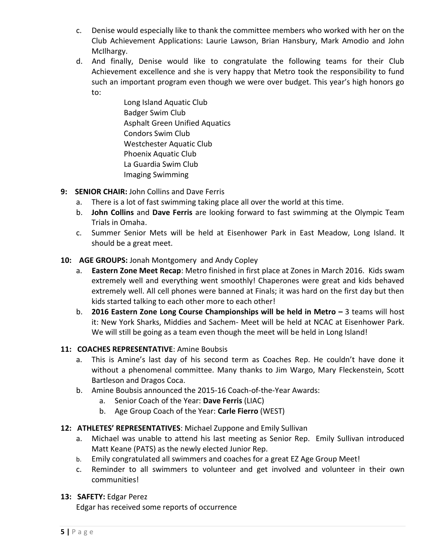- c. Denise would especially like to thank the committee members who worked with her on the Club Achievement Applications: Laurie Lawson, Brian Hansbury, Mark Amodio and John McIlhargy.
- d. And finally, Denise would like to congratulate the following teams for their Club Achievement excellence and she is very happy that Metro took the responsibility to fund such an important program even though we were over budget. This year's high honors go to:

Long Island Aquatic Club Badger Swim Club Asphalt Green Unified Aquatics Condors Swim Club Westchester Aquatic Club Phoenix Aquatic Club La Guardia Swim Club Imaging Swimming

- **9: SENIOR CHAIR:** John Collins and Dave Ferris
	- a. There is a lot of fast swimming taking place all over the world at this time.
	- b. **John Collins** and **Dave Ferris** are looking forward to fast swimming at the Olympic Team Trials in Omaha.
	- c. Summer Senior Mets will be held at Eisenhower Park in East Meadow, Long Island. It should be a great meet.

# **10: AGE GROUPS:** Jonah Montgomery and Andy Copley

- a. **Eastern Zone Meet Recap**: Metro finished in first place at Zones in March 2016. Kids swam extremely well and everything went smoothly! Chaperones were great and kids behaved extremely well. All cell phones were banned at Finals; it was hard on the first day but then kids started talking to each other more to each other!
- b. **2016 Eastern Zone Long Course Championships will be held in Metro 3 teams will host** it: New York Sharks, Middies and Sachem- Meet will be held at NCAC at Eisenhower Park. We will still be going as a team even though the meet will be held in Long Island!

# **11: COACHES REPRESENTATIVE**: Amine Boubsis

- a. This is Amine's last day of his second term as Coaches Rep. He couldn't have done it without a phenomenal committee. Many thanks to Jim Wargo, Mary Fleckenstein, Scott Bartleson and Dragos Coca.
- b. Amine Boubsis announced the 2015-16 Coach-of-the-Year Awards:
	- a. Senior Coach of the Year: **Dave Ferris** (LIAC)
	- b. Age Group Coach of the Year: **Carle Fierro** (WEST)
- **12: ATHLETES' REPRESENTATIVES**: Michael Zuppone and Emily Sullivan
	- a. Michael was unable to attend his last meeting as Senior Rep. Emily Sullivan introduced Matt Keane (PATS) as the newly elected Junior Rep.
	- b. Emily congratulated all swimmers and coaches for a great EZ Age Group Meet!
	- c. Reminder to all swimmers to volunteer and get involved and volunteer in their own communities!

# **13: SAFETY:** Edgar Perez

Edgar has received some reports of occurrence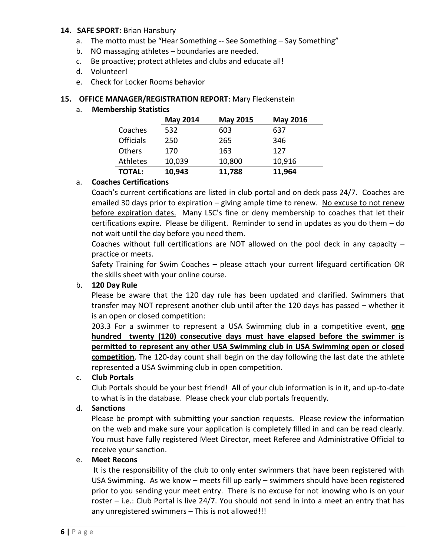#### **14. SAFE SPORT:** Brian Hansbury

- a. The motto must be "Hear Something -- See Something Say Something"
- b. NO massaging athletes boundaries are needed.
- c. Be proactive; protect athletes and clubs and educate all!
- d. Volunteer!
- e. Check for Locker Rooms behavior

#### **15. OFFICE MANAGER/REGISTRATION REPORT**: Mary Fleckenstein

#### a. **Membership Statistics**

|                  | <b>May 2014</b> | May 2015 | <b>May 2016</b> |
|------------------|-----------------|----------|-----------------|
| Coaches          | 532             | 603      | 637             |
| <b>Officials</b> | 250             | 265      | 346             |
| Others           | 170             | 163      | 127             |
| Athletes         | 10,039          | 10,800   | 10,916          |
| <b>TOTAL:</b>    | 10,943          | 11,788   | 11,964          |

#### a. **Coaches Certifications**

Coach's current certifications are listed in club portal and on deck pass 24/7. Coaches are emailed 30 days prior to expiration – giving ample time to renew. No excuse to not renew before expiration dates. Many LSC's fine or deny membership to coaches that let their certifications expire. Please be diligent. Reminder to send in updates as you do them – do not wait until the day before you need them.

Coaches without full certifications are NOT allowed on the pool deck in any capacity – practice or meets.

Safety Training for Swim Coaches – please attach your current lifeguard certification OR the skills sheet with your online course.

## b. **120 Day Rule**

Please be aware that the 120 day rule has been updated and clarified. Swimmers that transfer may NOT represent another club until after the 120 days has passed – whether it is an open or closed competition:

203.3 For a swimmer to represent a USA Swimming club in a competitive event, **one hundred twenty (120) consecutive days must have elapsed before the swimmer is permitted to represent any other USA Swimming club in USA Swimming open or closed competition**. The 120-day count shall begin on the day following the last date the athlete represented a USA Swimming club in open competition.

#### c. **Club Portals**

Club Portals should be your best friend! All of your club information is in it, and up-to-date to what is in the database. Please check your club portals frequently.

#### d. **Sanctions**

Please be prompt with submitting your sanction requests. Please review the information on the web and make sure your application is completely filled in and can be read clearly. You must have fully registered Meet Director, meet Referee and Administrative Official to receive your sanction.

#### e. **Meet Recons**

It is the responsibility of the club to only enter swimmers that have been registered with USA Swimming. As we know – meets fill up early – swimmers should have been registered prior to you sending your meet entry. There is no excuse for not knowing who is on your roster – i.e.: Club Portal is live 24/7. You should not send in into a meet an entry that has any unregistered swimmers – This is not allowed!!!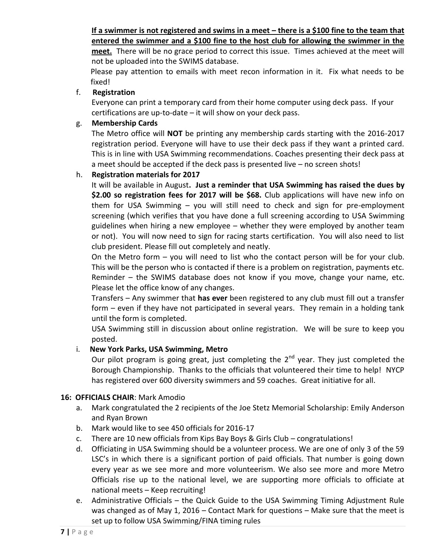# **If a swimmer is not registered and swims in a meet – there is a \$100 fine to the team that entered the swimmer and a \$100 fine to the host club for allowing the swimmer in the**

**meet.** There will be no grace period to correct this issue. Times achieved at the meet will not be uploaded into the SWIMS database.

Please pay attention to emails with meet recon information in it. Fix what needs to be fixed!

# f. **Registration**

Everyone can print a temporary card from their home computer using deck pass. If your certifications are up-to-date – it will show on your deck pass.

# g. **Membership Cards**

The Metro office will **NOT** be printing any membership cards starting with the 2016-2017 registration period. Everyone will have to use their deck pass if they want a printed card. This is in line with USA Swimming recommendations. Coaches presenting their deck pass at a meet should be accepted if the deck pass is presented live – no screen shots!

# h. **Registration materials for 2017**

It will be available in August**. Just a reminder that USA Swimming has raised the dues by \$2.00 so registration fees for 2017 will be \$68.** Club applications will have new info on them for USA Swimming – you will still need to check and sign for pre-employment screening (which verifies that you have done a full screening according to USA Swimming guidelines when hiring a new employee – whether they were employed by another team or not). You will now need to sign for racing starts certification. You will also need to list club president. Please fill out completely and neatly.

On the Metro form – you will need to list who the contact person will be for your club. This will be the person who is contacted if there is a problem on registration, payments etc. Reminder – the SWIMS database does not know if you move, change your name, etc. Please let the office know of any changes.

Transfers – Any swimmer that **has ever** been registered to any club must fill out a transfer form – even if they have not participated in several years. They remain in a holding tank until the form is completed.

USA Swimming still in discussion about online registration. We will be sure to keep you posted.

# i. **New York Parks, USA Swimming, Metro**

Our pilot program is going great, just completing the  $2<sup>nd</sup>$  year. They just completed the Borough Championship. Thanks to the officials that volunteered their time to help! NYCP has registered over 600 diversity swimmers and 59 coaches. Great initiative for all.

## **16: OFFICIALS CHAIR**: Mark Amodio

- a. Mark congratulated the 2 recipients of the Joe Stetz Memorial Scholarship: Emily Anderson and Ryan Brown
- b. Mark would like to see 450 officials for 2016-17
- c. There are 10 new officials from Kips Bay Boys & Girls Club congratulations!
- d. Officiating in USA Swimming should be a volunteer process. We are one of only 3 of the 59 LSC's in which there is a significant portion of paid officials. That number is going down every year as we see more and more volunteerism. We also see more and more Metro Officials rise up to the national level, we are supporting more officials to officiate at national meets – Keep recruiting!
- e. Administrative Officials the Quick Guide to the USA Swimming Timing Adjustment Rule was changed as of May 1, 2016 – Contact Mark for questions – Make sure that the meet is set up to follow USA Swimming/FINA timing rules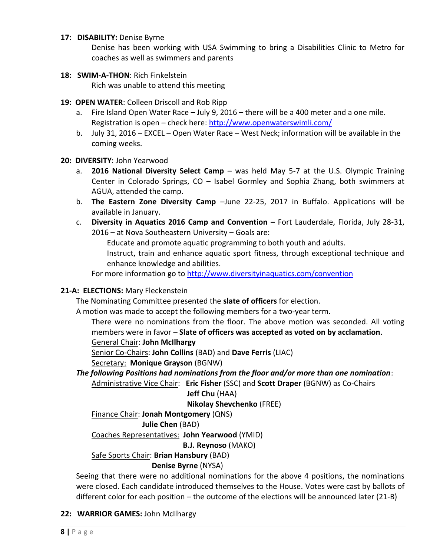#### **17**: **DISABILITY:** Denise Byrne

Denise has been working with USA Swimming to bring a Disabilities Clinic to Metro for coaches as well as swimmers and parents

**18: SWIM-A-THON**: Rich Finkelstein

Rich was unable to attend this meeting

- **19: OPEN WATER**: Colleen Driscoll and Rob Ripp
	- a. Fire Island Open Water Race July 9, 2016 there will be a 400 meter and a one mile. Registration is open – check here:<http://www.openwaterswimli.com/>
	- b. July 31, 2016 EXCEL Open Water Race West Neck; information will be available in the coming weeks.

#### **20: DIVERSITY**: John Yearwood

- a. **2016 National Diversity Select Camp** was held May 5-7 at the U.S. Olympic Training Center in Colorado Springs, CO – Isabel Gormley and Sophia Zhang, both swimmers at AGUA, attended the camp.
- b. **The Eastern Zone Diversity Camp** –June 22-25, 2017 in Buffalo. Applications will be available in January.
- c. **Diversity in Aquatics 2016 Camp and Convention –** Fort Lauderdale, Florida, July 28-31, 2016 – at Nova Southeastern University – Goals are:

Educate and promote aquatic programming to both youth and adults. Instruct, train and enhance aquatic sport fitness, through exceptional technique and enhance knowledge and abilities.

For more information go to<http://www.diversityinaquatics.com/convention>

## **21-A: ELECTIONS:** Mary Fleckenstein

The Nominating Committee presented the **slate of officers** for election.

A motion was made to accept the following members for a two-year term.

There were no nominations from the floor. The above motion was seconded. All voting members were in favor – **Slate of officers was accepted as voted on by acclamation**.

General Chair: **John McIlhargy**

Senior Co-Chairs: **John Collins** (BAD) and **Dave Ferris** (LIAC)

Secretary: **Monique Grayson** (BGNW)

*The following Positions had nominations from the floor and/or more than one nomination*: Administrative Vice Chair: **Eric Fisher** (SSC) and **Scott Draper** (BGNW) as Co-Chairs

## **Jeff Chu** (HAA)

**Nikolay Shevchenko** (FREE)

Finance Chair: **Jonah Montgomery** (QNS)

 **Julie Chen** (BAD)

Coaches Representatives: **John Yearwood** (YMID)

**B.J. Reynoso** (MAKO)

## Safe Sports Chair: **Brian Hansbury** (BAD)

## **Denise Byrne** (NYSA)

Seeing that there were no additional nominations for the above 4 positions, the nominations were closed. Each candidate introduced themselves to the House. Votes were cast by ballots of different color for each position – the outcome of the elections will be announced later (21-B)

## **22: WARRIOR GAMES:** John McIlhargy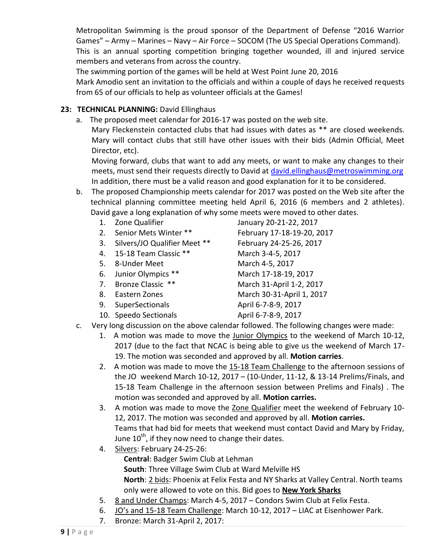Metropolitan Swimming is the proud sponsor of the Department of Defense "2016 Warrior Games" – Army – Marines – Navy – Air Force – SOCOM (The US Special Operations Command). This is an annual sporting competition bringing together wounded, ill and injured service members and veterans from across the country.

The swimming portion of the games will be held at West Point June 20, 2016

Mark Amodio sent an invitation to the officials and within a couple of days he received requests from 65 of our officials to help as volunteer officials at the Games!

# 23: **TECHNICAL PLANNING:** David Ellinghaus

a. The proposed meet calendar for 2016-17 was posted on the web site.

Mary Fleckenstein contacted clubs that had issues with dates as \*\* are closed weekends. Mary will contact clubs that still have other issues with their bids (Admin Official, Meet Director, etc).

Moving forward, clubs that want to add any meets, or want to make any changes to their meets, must send their requests directly to David at [david.ellinghaus@metroswimming.org](mailto:david.ellinghaus@metroswimming.org) In addition, there must be a valid reason and good explanation for it to be considered.

- b. The proposed Championship meets calendar for 2017 was posted on the Web site after the technical planning committee meeting held April 6, 2016 (6 members and 2 athletes). David gave a long explanation of why some meets were moved to other dates.
	-
	-
	- 3. Silvers/JO Qualifier Meet \*\* February 24-25-26, 2017
	- 4. 15-18 Team Classic \*\* March 3-4-5, 2017
	- 5. 8-Under Meet March 4-5, 2017
	- 6. Junior Olympics \*\* March 17-18-19, 2017
	-
	-
	- 9. SuperSectionals April 6-7-8-9, 2017
	- 10. Speedo Sectionals April 6-7-8-9, 2017

1. Zone Qualifier January 20-21-22, 2017 2. Senior Mets Winter \*\* February 17-18-19-20, 2017 7. Bronze Classic \*\* March 31-April 1-2, 2017 8. Eastern Zones March 30-31-April 1, 2017

- c. Very long discussion on the above calendar followed. The following changes were made:
	- 1. A motion was made to move the Junior Olympics to the weekend of March 10-12, 2017 (due to the fact that NCAC is being able to give us the weekend of March 17- 19. The motion was seconded and approved by all. **Motion carries**.
	- 2. A motion was made to move the 15-18 Team Challenge to the afternoon sessions of the JO weekend March 10-12, 2017 – (10-Under, 11-12, & 13-14 Prelims/Finals, and 15-18 Team Challenge in the afternoon session between Prelims and Finals) . The motion was seconded and approved by all. **Motion carries.**
	- 3. A motion was made to move the Zone Qualifier meet the weekend of February 10- 12, 2017. The motion was seconded and approved by all. **Motion carries.**  Teams that had bid for meets that weekend must contact David and Mary by Friday, June  $10^{th}$ , if they now need to change their dates.
	- 4. Silvers: February 24-25-26:
		- **Central**: Badger Swim Club at Lehman
		- **South**: Three Village Swim Club at Ward Melville HS

**North**: 2 bids: Phoenix at Felix Festa and NY Sharks at Valley Central. North teams only were allowed to vote on this. Bid goes to **New York Sharks**

- 5. 8 and Under Champs: March 4-5, 2017 Condors Swim Club at Felix Festa.
- 6. JO's and 15-18 Team Challenge: March 10-12, 2017 LIAC at Eisenhower Park.
- 7. Bronze: March 31-April 2, 2017: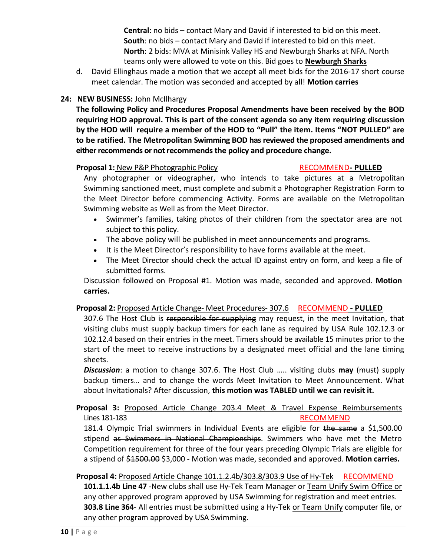**Central**: no bids – contact Mary and David if interested to bid on this meet. **South**: no bids – contact Mary and David if interested to bid on this meet. **North**: 2 bids: MVA at Minisink Valley HS and Newburgh Sharks at NFA. North teams only were allowed to vote on this. Bid goes to **Newburgh Sharks**

d. David Ellinghaus made a motion that we accept all meet bids for the 2016-17 short course meet calendar. The motion was seconded and accepted by all! **Motion carries**

# **24: NEW BUSINESS:** John McIlhargy

**The following Policy and Procedures Proposal Amendments have been received by the BOD requiring HOD approval. This is part of the consent agenda so any item requiring discussion by the HOD will require a member of the HOD to "Pull" the item. Items "NOT PULLED" are to be ratified. The Metropolitan Swimming BOD has reviewed the proposed amendments and either recommends or not recommends the policy and procedure change.** 

## **Proposal 1:** New P&P Photographic Policy **RECOMMEND- PULLED**

Any photographer or videographer, who intends to take pictures at a Metropolitan Swimming sanctioned meet, must complete and submit a Photographer Registration Form to the Meet Director before commencing Activity. Forms are available on the Metropolitan Swimming website as Well as from the Meet Director.

- Swimmer's families, taking photos of their children from the spectator area are not subject to this policy.
- The above policy will be published in meet announcements and programs.
- It is the Meet Director's responsibility to have forms available at the meet.
- The Meet Director should check the actual ID against entry on form, and keep a file of submitted forms.

Discussion followed on Proposal #1. Motion was made, seconded and approved. **Motion carries.**

## **Proposal 2:** Proposed Article Change- Meet Procedures- 307.6 RECOMMEND **- PULLED**

307.6 The Host Club is responsible for supplying may request, in the meet Invitation, that visiting clubs must supply backup timers for each lane as required by USA Rule 102.12.3 or 102.12.4 based on their entries in the meet. Timers should be available 15 minutes prior to the start of the meet to receive instructions by a designated meet official and the lane timing sheets.

**Discussion**: a motion to change 307.6. The Host Club ..... visiting clubs may (must) supply backup timers… and to change the words Meet Invitation to Meet Announcement. What about Invitationals? After discussion, **this motion was TABLED until we can revisit it.**

# **Proposal 3:** Proposed Article Change 203.4 Meet & Travel Expense Reimbursements Lines 181-183 **RECOMMEND**

181.4 Olympic Trial swimmers in Individual Events are eligible for the same a \$1,500.00 stipend as Swimmers in National Championships. Swimmers who have met the Metro Competition requirement for three of the four years preceding Olympic Trials are eligible for a stipend of \$1500.00 \$3,000 - Motion was made, seconded and approved. **Motion carries.**

# **Proposal 4:** Proposed Article Change 101.1.2.4b/303.8/303.9 Use of Hy-Tek RECOMMEND

**101.1.1.4b Line 47** -New clubs shall use Hy-Tek Team Manager or Team Unify Swim Office or any other approved program approved by USA Swimming for registration and meet entries. **303.8 Line 364**- All entries must be submitted using a Hy-Tek or Team Unify computer file, or any other program approved by USA Swimming.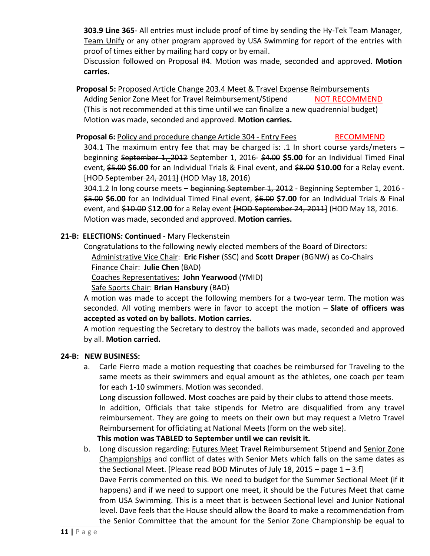**303.9 Line 365**- All entries must include proof of time by sending the Hy-Tek Team Manager, Team Unify or any other program approved by USA Swimming for report of the entries with proof of times either by mailing hard copy or by email.

Discussion followed on Proposal #4. Motion was made, seconded and approved. **Motion carries.**

**Proposal 5:** Proposed Article Change 203.4 Meet & Travel Expense Reimbursements Adding Senior Zone Meet for Travel Reimbursement/Stipend NOT RECOMMEND (This is not recommended at this time until we can finalize a new quadrennial budget) Motion was made, seconded and approved. **Motion carries.**

**Proposal 6: Policy and procedure change Article 304 - Entry Fees RECOMMEND** 

304.1 The maximum entry fee that may be charged is: .1 In short course yards/meters – beginning September 1, 2012 September 1, 2016- \$4.00 **\$5.00** for an Individual Timed Final event, \$5.00 **\$6.00** for an Individual Trials & Final event, and \$8.00 **\$10.00** for a Relay event. [HOD September 24, 2011] (HOD May 18, 2016)

304.1.2 In long course meets – beginning September 1, 2012 - Beginning September 1, 2016 - \$5.00 **\$6.00** for an Individual Timed Final event, \$6.00 **\$7.00** for an Individual Trials & Final event, and \$10.00 \$**12.00** for a Relay event [HOD September 24, 2011] (HOD May 18, 2016. Motion was made, seconded and approved. **Motion carries.**

# **21-B: ELECTIONS: Continued -** Mary Fleckenstein

Congratulations to the following newly elected members of the Board of Directors: Administrative Vice Chair: **Eric Fisher** (SSC) and **Scott Draper** (BGNW) as Co-Chairs Finance Chair: **Julie Chen** (BAD)

Coaches Representatives: **John Yearwood** (YMID)

Safe Sports Chair: **Brian Hansbury** (BAD)

A motion was made to accept the following members for a two-year term. The motion was seconded. All voting members were in favor to accept the motion – **Slate of officers was accepted as voted on by ballots. Motion carries.**

A motion requesting the Secretary to destroy the ballots was made, seconded and approved by all. **Motion carried.**

## **24-B: NEW BUSINESS:**

a. Carle Fierro made a motion requesting that coaches be reimbursed for Traveling to the same meets as their swimmers and equal amount as the athletes, one coach per team for each 1-10 swimmers. Motion was seconded.

Long discussion followed. Most coaches are paid by their clubs to attend those meets. In addition, Officials that take stipends for Metro are disqualified from any travel reimbursement. They are going to meets on their own but may request a Metro Travel Reimbursement for officiating at National Meets (form on the web site).

**This motion was TABLED to September until we can revisit it.**

b. Long discussion regarding: Futures Meet Travel Reimbursement Stipend and Senior Zone Championships and conflict of dates with Senior Mets which falls on the same dates as the Sectional Meet. [Please read BOD Minutes of July 18, 2015 – page  $1 - 3.$ f]

Dave Ferris commented on this. We need to budget for the Summer Sectional Meet (if it happens) and if we need to support one meet, it should be the Futures Meet that came from USA Swimming. This is a meet that is between Sectional level and Junior National level. Dave feels that the House should allow the Board to make a recommendation from the Senior Committee that the amount for the Senior Zone Championship be equal to